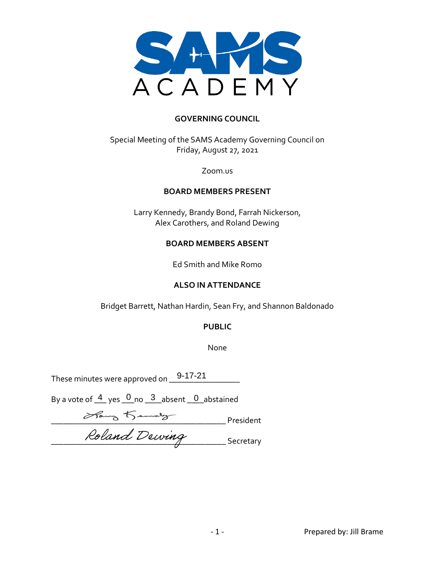

#### **GOVERNING COUNCIL**

Special Meeting of the SAMS Academy Governing Council on Friday, August 27, 2021

Zoom.us

#### **BOARD MEMBERS PRESENT**

Larry Kennedy, Brandy Bond, Farrah Nickerson, Alex Carothers, and Roland Dewing

#### **BOARD MEMBERS ABSENT**

Ed Smith and Mike Romo

#### **ALSO IN ATTENDANCE**

Bridget Barrett, Nathan Hardin, Sean Fry, and Shannon Baldonado

#### **PUBLIC**

None

These minutes were approved on  $\_\_\_\_\_\_\_\_$ 

By a vote of  $\frac{4}{5}$  yes  $\frac{0}{5}$  no  $\frac{3}{5}$  absent  $\frac{0}{5}$  abstained

 $\overline{\phantom{a}}$  President  $\sim$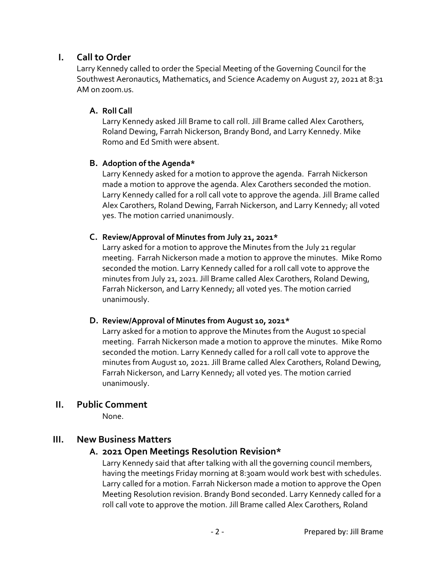## **I. Call to Order**

Larry Kennedy called to order the Special Meeting of the Governing Council for the Southwest Aeronautics, Mathematics, and Science Academy on August 27, 2021 at 8:31 AM on zoom.us.

#### **A. Roll Call**

Larry Kennedy asked Jill Brame to call roll. Jill Brame called Alex Carothers, Roland Dewing, Farrah Nickerson, Brandy Bond, and Larry Kennedy. Mike Romo and Ed Smith were absent.

### **B. Adoption of the Agenda\***

Larry Kennedy asked for a motion to approve the agenda. Farrah Nickerson made a motion to approve the agenda. Alex Carothers seconded the motion. Larry Kennedy called for a roll call vote to approve the agenda. Jill Brame called Alex Carothers, Roland Dewing, Farrah Nickerson, and Larry Kennedy; all voted yes. The motion carried unanimously.

### **C. Review/Approval of Minutes from July 21, 2021\***

Larry asked for a motion to approve the Minutes from the July 21 regular meeting. Farrah Nickerson made a motion to approve the minutes. Mike Romo seconded the motion. Larry Kennedy called for a roll call vote to approve the minutes from July 21, 2021. Jill Brame called Alex Carothers, Roland Dewing, Farrah Nickerson, and Larry Kennedy; all voted yes. The motion carried unanimously.

#### **D. Review/Approval of Minutes from August 10, 2021\***

Larry asked for a motion to approve the Minutes from the August 10 special meeting. Farrah Nickerson made a motion to approve the minutes. Mike Romo seconded the motion. Larry Kennedy called for a roll call vote to approve the minutes from August 10, 2021. Jill Brame called Alex Carothers, Roland Dewing, Farrah Nickerson, and Larry Kennedy; all voted yes. The motion carried unanimously.

## **II. Public Comment**

None.

## **III. New Business Matters**

## **A. 2021 Open Meetings Resolution Revision\***

Larry Kennedy said that after talking with all the governing council members, having the meetings Friday morning at 8:30am would work best with schedules. Larry called for a motion. Farrah Nickerson made a motion to approve the Open Meeting Resolution revision. Brandy Bond seconded. Larry Kennedy called for a roll call vote to approve the motion. Jill Brame called Alex Carothers, Roland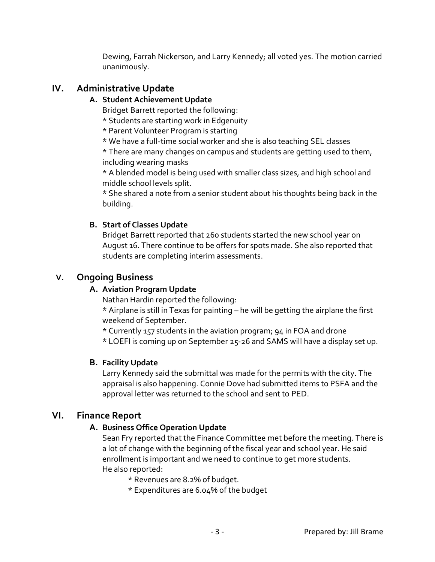Dewing, Farrah Nickerson, and Larry Kennedy; all voted yes. The motion carried unanimously.

## **IV. Administrative Update**

### **A. Student Achievement Update**

Bridget Barrett reported the following:

\* Students are starting work in Edgenuity

\* Parent Volunteer Program is starting

\* We have a full-time social worker and she is also teaching SEL classes

\* There are many changes on campus and students are getting used to them, including wearing masks

\* A blended model is being used with smaller class sizes, and high school and middle school levels split.

\* She shared a note from a senior student about his thoughts being back in the building.

### **B. Start of Classes Update**

Bridget Barrett reported that 260 students started the new school year on August 16. There continue to be offers for spots made. She also reported that students are completing interim assessments.

# **V. Ongoing Business**

## **A. Aviation Program Update**

Nathan Hardin reported the following:

\* Airplane is still in Texas for painting – he will be getting the airplane the first weekend of September.

- \* Currently 157 students in the aviation program; 94 in FOA and drone
- \* LOEFI is coming up on September 25-26 and SAMS will have a display set up.

## **B. Facility Update**

Larry Kennedy said the submittal was made for the permits with the city. The appraisal is also happening. Connie Dove had submitted items to PSFA and the approval letter was returned to the school and sent to PED.

# **VI. Finance Report**

## **A. Business Office Operation Update**

Sean Fry reported that the Finance Committee met before the meeting. There is a lot of change with the beginning of the fiscal year and school year. He said enrollment is important and we need to continue to get more students. He also reported:

\* Revenues are 8.2% of budget.

\* Expenditures are 6.04% of the budget